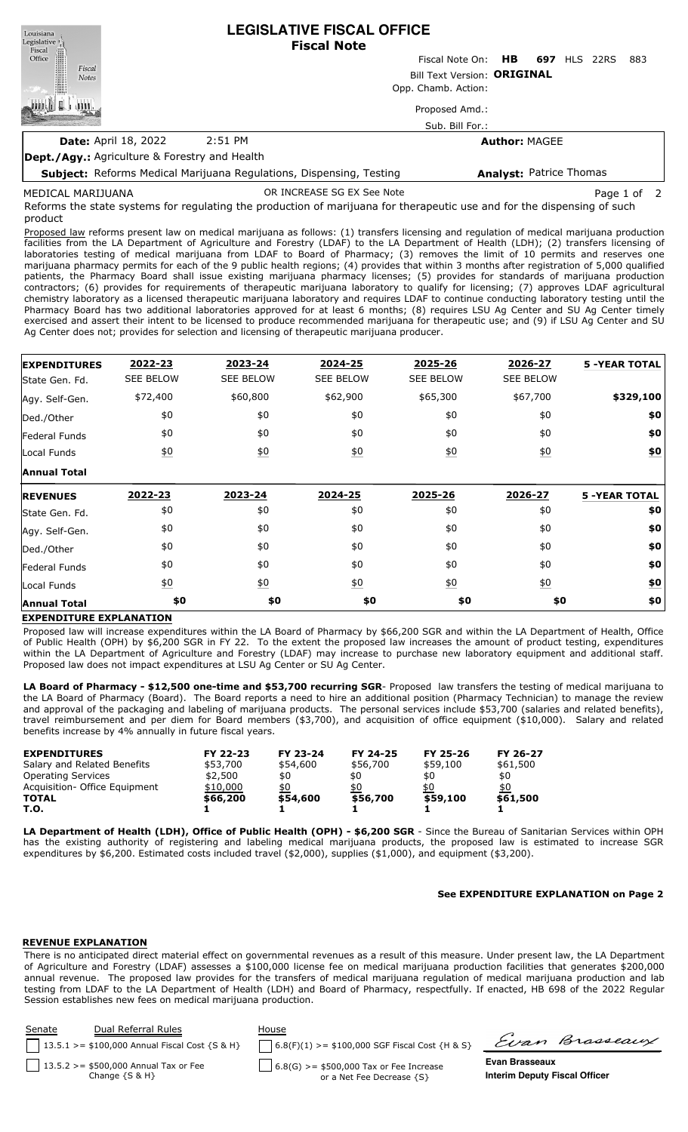| Fiscal                                                                                                       |             |
|--------------------------------------------------------------------------------------------------------------|-------------|
| Office<br>HB.<br>Fiscal Note On:<br><b>697 HLS 22RS</b>                                                      | 883         |
| Fiscal<br>Bill Text Version: ORIGINAL<br><b>Notes</b>                                                        |             |
| Opp. Chamb. Action:                                                                                          |             |
| Proposed Amd.:                                                                                               |             |
| Sub. Bill For.:                                                                                              |             |
| <b>Date: April 18, 2022</b><br>2:51 PM<br><b>Author: MAGEE</b>                                               |             |
| <b>Dept./Agy.: Agriculture &amp; Forestry and Health</b>                                                     |             |
| <b>Analyst: Patrice Thomas</b><br><b>Subject:</b> Reforms Medical Marijuana Regulations, Dispensing, Testing |             |
| OR INCREASE SG EX See Note<br>MEDICAL MARIJUANA                                                              | Page 1 of 2 |

Reforms the state systems for regulating the production of marijuana for therapeutic use and for the dispensing of such product

Proposed law reforms present law on medical marijuana as follows: (1) transfers licensing and regulation of medical marijuana production facilities from the LA Department of Agriculture and Forestry (LDAF) to the LA Department of Health (LDH); (2) transfers licensing of laboratories testing of medical marijuana from LDAF to Board of Pharmacy; (3) removes the limit of 10 permits and reserves one marijuana pharmacy permits for each of the 9 public health regions; (4) provides that within 3 months after registration of 5,000 qualified patients, the Pharmacy Board shall issue existing marijuana pharmacy licenses; (5) provides for standards of marijuana production contractors; (6) provides for requirements of therapeutic marijuana laboratory to qualify for licensing; (7) approves LDAF agricultural chemistry laboratory as a licensed therapeutic marijuana laboratory and requires LDAF to continue conducting laboratory testing until the Pharmacy Board has two additional laboratories approved for at least 6 months; (8) requires LSU Ag Center and SU Ag Center timely exercised and assert their intent to be licensed to produce recommended marijuana for therapeutic use; and (9) if LSU Ag Center and SU Ag Center does not; provides for selection and licensing of therapeutic marijuana producer.

| <b>EXPENDITURES</b>  | 2022-23          | 2023-24           | 2024-25          | 2025-26          | 2026-27          | <b>5 -YEAR TOTAL</b> |
|----------------------|------------------|-------------------|------------------|------------------|------------------|----------------------|
| State Gen. Fd.       | <b>SEE BELOW</b> | <b>SEE BELOW</b>  | <b>SEE BELOW</b> | <b>SEE BELOW</b> | <b>SEE BELOW</b> |                      |
| Agy. Self-Gen.       | \$72,400         | \$60,800          | \$62,900         | \$65,300         | \$67,700         | \$329,100            |
| Ded./Other           | \$0              | \$0               | \$0              | \$0              | \$0              | \$0                  |
| Federal Funds        | \$0              | \$0               | \$0              | \$0              | \$0              | \$0                  |
| Local Funds          | <u>\$0</u>       | $\underline{\$0}$ | 60               | 60               | $\underline{40}$ | $\underline{\$0}$    |
| <b>Annual Total</b>  |                  |                   |                  |                  |                  |                      |
|                      |                  |                   |                  |                  |                  |                      |
| <b>REVENUES</b>      | 2022-23          | 2023-24           | 2024-25          | 2025-26          | 2026-27          | <b>5 -YEAR TOTAL</b> |
| State Gen. Fd.       | \$0              | \$0               | \$0              | \$0              | \$0              | \$0                  |
| Agy. Self-Gen.       | \$0              | \$0               | \$0              | \$0              | \$0              | \$0                  |
| Ded./Other           | \$0              | \$0               | \$0              | \$0              | \$0              | \$0                  |
| <b>Federal Funds</b> | \$0              | \$0               | \$0              | \$0              | \$0              | \$0                  |
| Local Funds          | $\underline{50}$ | $\underline{40}$  | $\underline{40}$ | $\underline{50}$ | $\underline{40}$ | <u>\$0</u>           |

# **EXPENDITURE EXPLANATION**

Proposed law will increase expenditures within the LA Board of Pharmacy by \$66,200 SGR and within the LA Department of Health, Office of Public Health (OPH) by \$6,200 SGR in FY 22. To the extent the proposed law increases the amount of product testing, expenditures within the LA Department of Agriculture and Forestry (LDAF) may increase to purchase new laboratory equipment and additional staff. Proposed law does not impact expenditures at LSU Ag Center or SU Ag Center.

**LA Board of Pharmacy - \$12,500 one-time and \$53,700 recurring SGR**- Proposed law transfers the testing of medical marijuana to the LA Board of Pharmacy (Board). The Board reports a need to hire an additional position (Pharmacy Technician) to manage the review and approval of the packaging and labeling of marijuana products. The personal services include \$53,700 (salaries and related benefits), travel reimbursement and per diem for Board members (\$3,700), and acquisition of office equipment (\$10,000). Salary and related benefits increase by 4% annually in future fiscal years.

| <b>EXPENDITURES</b>            | FY 22-23 | FY 23-24 | FY 24-25 | FY 25-26 | FY 26-27 |
|--------------------------------|----------|----------|----------|----------|----------|
| Salary and Related Benefits    | \$53,700 | \$54,600 | \$56,700 | \$59,100 | \$61,500 |
| <b>Operating Services</b>      | \$2,500  | \$0      | \$0      | \$0      | \$0      |
| Acquisition - Office Equipment | \$10,000 | \$0      | \$0      | \$0      | \$0      |
| <b>TOTAL</b>                   | \$66,200 | \$54,600 | \$56,700 | \$59,100 | \$61,500 |
| T.O.                           |          |          |          |          |          |

**LA Department of Health (LDH), Office of Public Health (OPH) - \$6,200 SGR** - Since the Bureau of Sanitarian Services within OPH has the existing authority of registering and labeling medical marijuana products, the proposed law is estimated to increase SGR expenditures by \$6,200. Estimated costs included travel (\$2,000), supplies (\$1,000), and equipment (\$3,200).

### **See EXPENDITURE EXPLANATION on Page 2**

### **REVENUE EXPLANATION**

There is no anticipated direct material effect on governmental revenues as a result of this measure. Under present law, the LA Department of Agriculture and Forestry (LDAF) assesses a \$100,000 license fee on medical marijuana production facilities that generates \$200,000 annual revenue. The proposed law provides for the transfers of medical marijuana regulation of medical marijuana production and lab testing from LDAF to the LA Department of Health (LDH) and Board of Pharmacy, respectfully. If enacted, HB 698 of the 2022 Regular Session establishes new fees on medical marijuana production.

| Senate | Dual Referral Rules                                            | House                                                                       |                                                        |                |
|--------|----------------------------------------------------------------|-----------------------------------------------------------------------------|--------------------------------------------------------|----------------|
|        | 13.5.1 > = \$100,000 Annual Fiscal Cost $\{S \& H\}$           | $6.8(F)(1)$ >= \$100,000 SGF Fiscal Cost {H & S}                            |                                                        | Evan Brasseaux |
|        | $13.5.2 > = $500,000$ Annual Tax or Fee<br>Change $\{S \& H\}$ | $\log$ 6.8(G) >= \$500,000 Tax or Fee Increase<br>or a Net Fee Decrease {S} | Evan Brasseaux<br><b>Interim Deputy Fiscal Officer</b> |                |